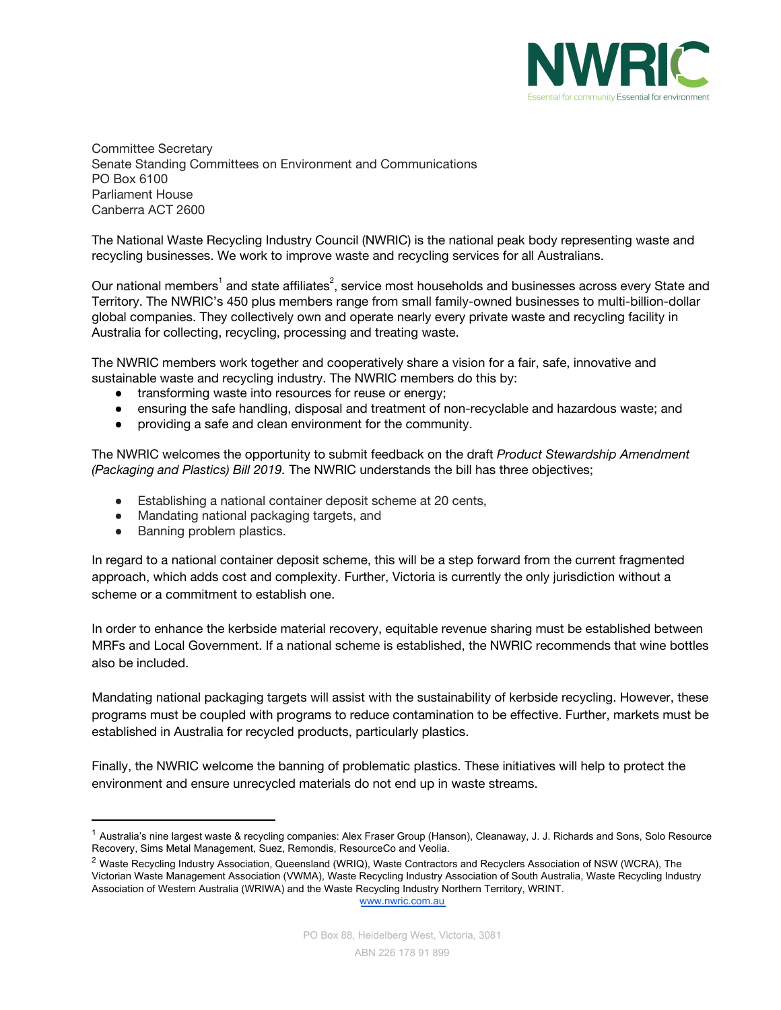

Committee Secretary Senate Standing Committees on Environment and Communications PO Box 6100 Parliament House Canberra ACT 2600

The National Waste Recycling Industry Council (NWRIC) is the national peak body representing waste and recycling businesses. We work to improve waste and recycling services for all Australians.

Our national members $^{\rm 1}$  and state affiliates $^{\rm 2}$ , service most households and businesses across every State and Territory. The NWRIC's 450 plus members range from small family-owned businesses to multi-billion-dollar global companies. They collectively own and operate nearly every private waste and recycling facility in Australia for collecting, recycling, processing and treating waste.

The NWRIC members work together and cooperatively share a vision for a fair, safe, innovative and sustainable waste and recycling industry. The NWRIC members do this by:

- **●** transforming waste into resources for reuse or energy;
- **●** ensuring the safe handling, disposal and treatment of non-recyclable and hazardous waste; and
- **●** providing a safe and clean environment for the community.

The NWRIC welcomes the opportunity to submit feedback on the draft *Product Stewardship Amendment (Packaging and Plastics) Bill 2019.* The NWRIC understands the bill has three objectives;

- Establishing a national container deposit scheme at 20 cents,
- Mandating national packaging targets, and
- Banning problem plastics.

In regard to a national container deposit scheme, this will be a step forward from the current fragmented approach, which adds cost and complexity. Further, Victoria is currently the only jurisdiction without a scheme or a commitment to establish one.

In order to enhance the kerbside material recovery, equitable revenue sharing must be established between MRFs and Local Government. If a national scheme is established, the NWRIC recommends that wine bottles also be included.

Mandating national packaging targets will assist with the sustainability of kerbside recycling. However, these programs must be coupled with programs to reduce contamination to be effective. Further, markets must be established in Australia for recycled products, particularly plastics.

Finally, the NWRIC welcome the banning of problematic plastics. These initiatives will help to protect the environment and ensure unrecycled materials do not end up in waste streams.

[www.nwric.com.au](http://www.nwric.com.au/)

<sup>&</sup>lt;sup>1</sup> Australia's nine largest waste & recycling companies: Alex Fraser Group (Hanson), Cleanaway, J. J. Richards and Sons, Solo Resource Recovery, Sims Metal Management, Suez, Remondis, ResourceCo and Veolia.

<sup>&</sup>lt;sup>2</sup> Waste Recycling Industry Association, Queensland (WRIQ), Waste Contractors and Recyclers Association of NSW (WCRA), The Victorian Waste Management Association (VWMA), Waste Recycling Industry Association of South Australia, Waste Recycling Industry Association of Western Australia (WRIWA) and the Waste Recycling Industry Northern Territory, WRINT.